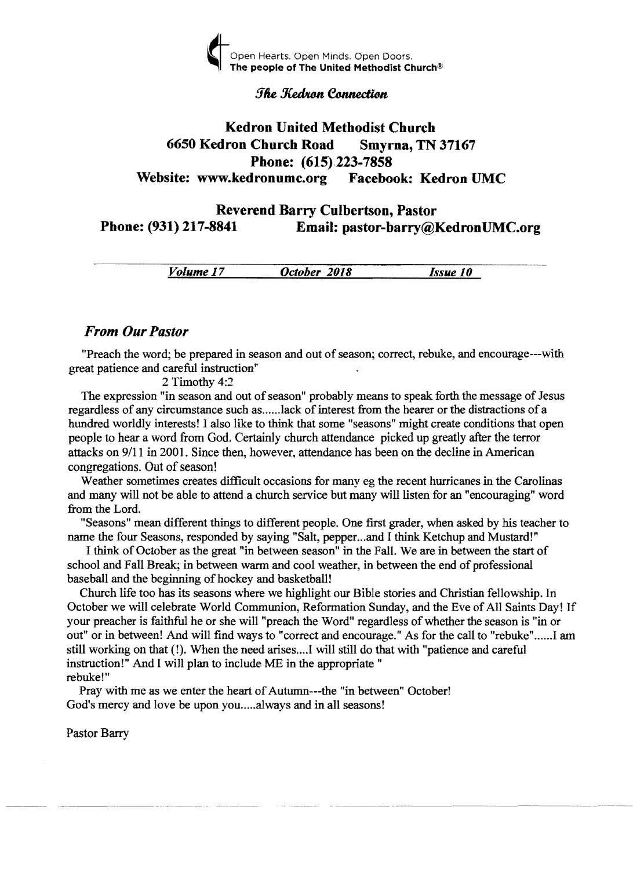

#### **The Kedron Connection**

# Kedron United Methodist Church 6650 Kedron Church Road Smyrna, TN 37167 Phone: (615).223-7858 Website: www.kedronumc.org Facebook: Kedron UMC

# Reverend Barry Culbertson, Pastor<br>
Phone: (931) 217-8841 Email: pastor-barry@l Email: pastor-barry@KedronUMC.org

*Volume 17 October 2018 Issue 10* 

## *From Our Pastor*

"Preach the word; be prepared in season and out of season; correct, rebuke, and encourage---with great patience and careful instruction"

#### 2 Timothy 4:2

The expression "in season and out of season" probably means to speak forth the message of Jesus regardless of any circumstance such as ..... .lack of interest from the hearer or the distractions of a hundred worldly interests! I also like to think that some "seasons" might create conditions that open people to hear a word from God. Certainly church attendance picked up greatly after the terror attacks on 9/11 in 2001. Since then, however, attendance has been on the decline in American congregations. Out of season!

Weather sometimes creates difficult occasions for many eg the recent hurricanes in the Carolinas and many will not be able to attend a church service but many will listen for an "encouraging" word from the Lord.

"Seasons" mean different things to different people. One first grader, when asked by his teacher to name the four Seasons, responded by saying "Salt, pepper...and I think Ketchup and Mustard!"

I think of October as the great "in between season" in the Fall. We are in between the start of school and Fall Break; in between warm and cool weather, in between the end of professional baseball and the beginning of hockey and basketball!

Church life too has its seasons where we highlight our Bible stories and Christian fellowship. In October we will celebrate World Communion, Reformation Sunday, and the Eve of All Saints Day! If your preacher is faithful he or she will "preach the Word" regardless of whether the season is "in or out" or in between! And will find ways to "correct and encourage." As for the call to "rebuke"......I am still working on that (!). When the need arises ... J will still do that with "patience and careful instruction!" And I will plan to include ME in the appropriate" rebuke!"

Pray with me as we enter the heart of Autumn---the "in between" October! God's mercy and love be upon you.....always and in all seasons!

Pastor Barry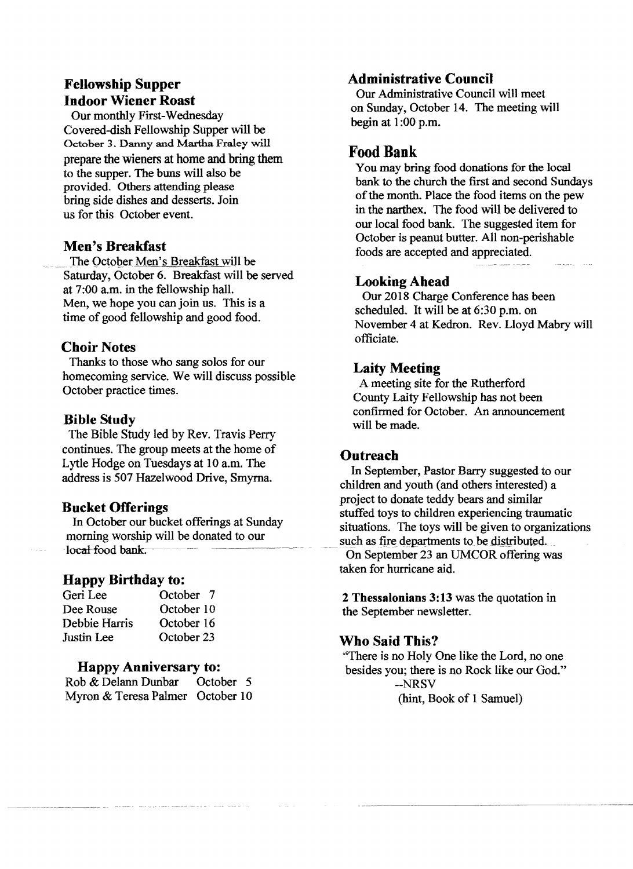# Fellowship Supper Indoor Wiener Roast

Our monthly First-Wednesday Covered-dish Fellowship Supper will be October 3. Danny and Martha Fraley will prepare the wieners at home and bring them to the supper. The buns will also be provided. Others attending please bring side dishes and desserts. Join us for this October event.

## Men's Breakfast

The October Men's Breakfast will be Saturday, October 6. Breakfast will be served at 7:00 a.m. in the fellowship hall. Men, we hope you can join us. This is a time of good fellowship and good food.

## Choir Notes

Thanks to those who sang solos for our homecoming service. We will discuss possible October practice times.

#### Bible Study

The Bible Study led by Rev. Travis Perry continues. The group meets at the home of Lytle Hodge on Tuesdays at 10 a.m. The address is 507 Hazelwood Drive, Smyrna.

## Bucket Offerings

In October our bucket offerings at Sunday morning worship will be donated to our local food bank.

## Happy Birthday to:

| Geri Lee      | October 7  |
|---------------|------------|
| Dee Rouse     | October 10 |
| Debbie Harris | October 16 |
| Justin Lee    | October 23 |

#### Happy Anniversary to:

| Rob & Delann Dunbar              | October 5 |  |
|----------------------------------|-----------|--|
| Myron & Teresa Palmer October 10 |           |  |

## Administrative Council

Our Administrative Council will meet on Sunday, October 14. The meeting will begin at  $1:00$  p.m.

# Food Bank

You may bring food donations for the local bank to the church the first and second Sundays of the month. Place the food items on the pew in the narthex. The food will be delivered to our local food bank. The suggested item for October is peanut butter. All non-perishable foods are accepted and appreciated.

## Looking Ahead

Our 2018 Charge Conference has been scheduled. It will be at 6:30 p.m. on November 4 at Kedron. Rev. Lloyd Mabry will officiate.

## Laity Meeting

A meeting site for the Rutherford County Laity Fellowship has not been confirmed for October. An announcement will be made.

#### **Outreach**

In September, Pastor Barry suggested to our children and youth (and others interested) a project to donate teddy bears and similar stuffed toys to children experiencing traumatic situations. The toys will be given to organizations such as fire departments to be distributed. On September 23 an UMCOR offering was taken for hurricane aid.

2 Thessalonians 3:13 was the quotation in the September newsletter.

## Who Said This?

"There is no Holv One like the Lord, no one besides you; there is no Rock like our God." --NRSV (hint, Book of 1 Samuel)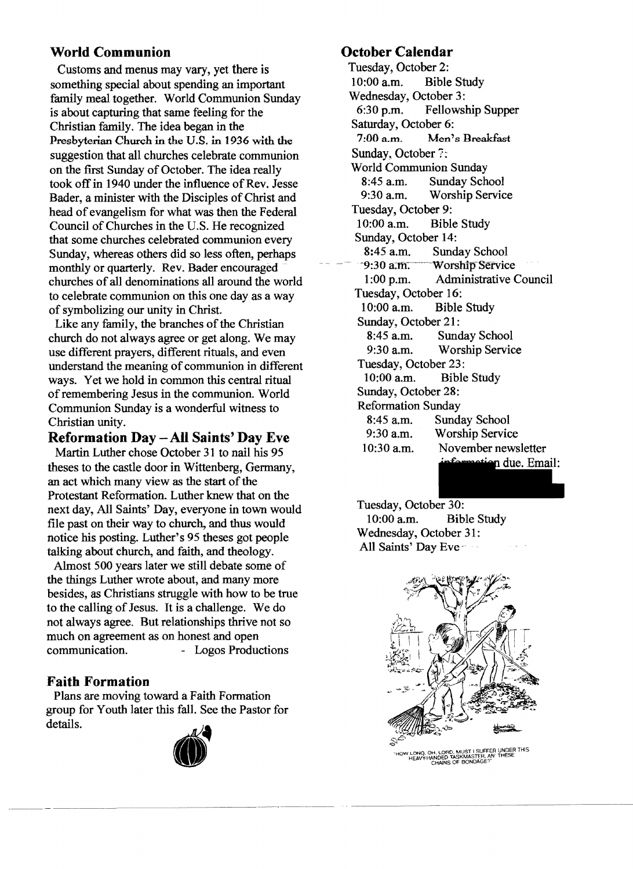# **World Communion**

Customs and menus may vary, yet there is something special about spending an important family meal together. World Communion Sunday is about capturing that same feeling for the Christian family. The idea began in the Presbyterian Church in the U.S. in 1936 with the suggestion that all churches celebrate communion on the first Sunday of October. The idea really took off in 1940 under the influence of Rev. Jesse Bader, a minister with the Disciples of Christ and head of evangelism for what was then the Federal Council of Churches in the U.S. He recognized that some churches celebrated communion every Sunday, whereas others did so less often, perhaps monthly or quarterly. Rev. Bader encouraged churches of all denominations all around the world to celebrate communion on this one day as a way of symbolizing our unity in Christ.

Like any family, the branches of the Christian church do not always agree or get along. We may use different prayers, different rituals, and even understand the meaning of communion in different ways. Yet we hold in common this central ritual of remembering Jesus in the communion. World Communion Sunday is a wonderful witness to Christian unity.

# **Reformation Day - All Saints' Day Eve**

Martin Luther chose October 31 to nail his 95 theses to the castle door in Wittenberg, Germany, an act which many view as the start of the Protestant Reformation. Luther knew that on the next day, All Saints' Day, everyone in town would file past on their way to church, and thus would notice his posting. Luther's 95 theses got people talking about church, and faith, and theology.

Almost 500 years later we still debate some of the things Luther wrote about, and many more besides, as Christians struggle with how to be true to the calling of Jesus. It is a challenge. We do not always agree. But relationships thrive not so much on agreement as on honest and open communication. - Logos Productions

## **Faith Formation**

Plans are moving toward a Faith Formation group for Youth later this fall. See the Pastor for details.



# **October Calendar**

Tuesday, October 2:<br>10:00 a.m. Bible **Bible Study** Wednesday, October 3:<br>6:30 p.m. Fellows Fellowship Supper Saturday, October 6: 7:00 a.m. Men's Breakfast Sunday, October 7: World Communion Sunday 8:45 a.m. Sunday School<br>9:30 a.m. Worship Servic Worship Service Tuesday, October 9: 10:00 a.m. Bible Study Sunday, October 14:<br>8:45 a.m. Sund Sunday School -9:30 a.m. Worship Service 1:00 p.m. Administrative Council Tuesday, October 16: 10:00 a.m. Bible Study Sunday, October 21:<br>8:45 a.m. Sund Sunday School 9:30 a.m. Worship Service Tuesday, October 23:<br>10:00 a.m. Bible **Bible Study** Sunday, October 28: Reformation Sunday 8:45 a.m. Sunday School 9:30 a.m. Worship Service 10:30 am. November newsletter motion due. Email:

Tuesday, October 30: 10:00 a.m. Bible Study Wednesday, October 31: All Saints' Day Eve



"HOW LONG, OH, LORD, MUST I SUFFER UNDER THIS HEAvY-HANDED TASKMASTER, AN THESE CHAINS OF BONDAGE?"